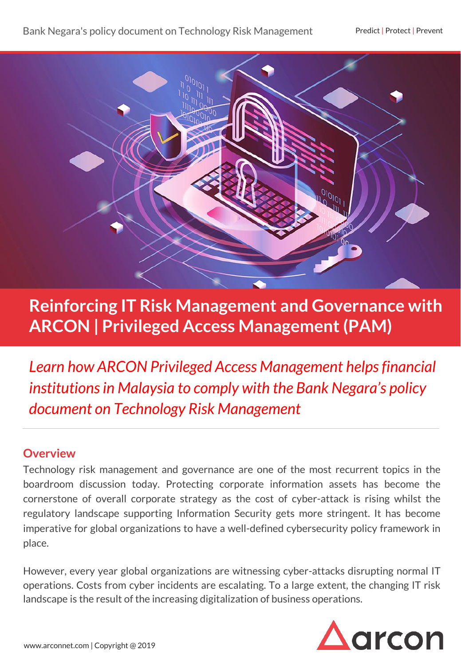

# **Reinforcing IT Risk Management and Governance with ARCON | Privileged Access Management (PAM)**

*Learn how ARCON Privileged Access Management helps financial institutions in Malaysia to comply with the Bank Negara's policy document on Technology Risk Management* 

### **Overview**

Technology risk management and governance are one of the most recurrent topics in the boardroom discussion today. Protecting corporate information assets has become the cornerstone of overall corporate strategy as the cost of cyber-attack is rising whilst the regulatory landscape supporting Information Security gets more stringent. It has become imperative for global organizations to have a well-defined cybersecurity policy framework in place.

However, every year global organizations are witnessing cyber-attacks disrupting normal IT operations. Costs from cyber incidents are escalating. To a large extent, the changing IT risk landscape is the result of the increasing digitalization of business operations.

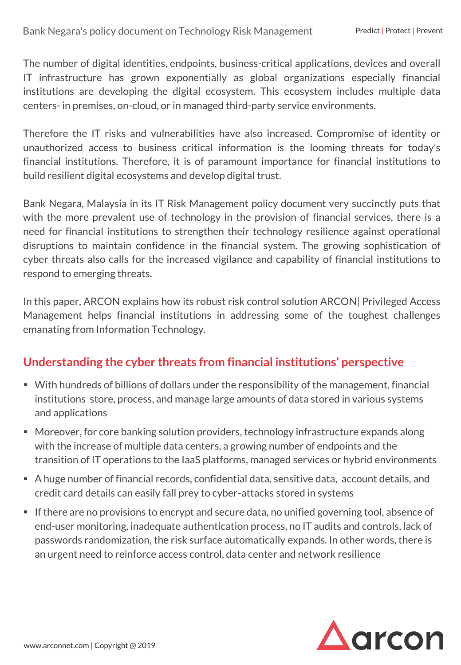The number of digital identities, endpoints, business-critical applications, devices and overall IT infrastructure has grown exponentially as global organizations especially financial institutions are developing the digital ecosystem. This ecosystem includes multiple data centers- in premises, on-cloud, or in managed third-party service environments.

Therefore the IT risks and vulnerabilities have also increased. Compromise of identity or unauthorized access to business critical information is the looming threats for today's financial institutions. Therefore, it is of paramount importance for financial institutions to build resilient digital ecosystems and develop digital trust.

Bank Negara, Malaysia in its IT Risk Management policy document very succinctly puts that with the more prevalent use of technology in the provision of financial services, there is a need for financial institutions to strengthen their technology resilience against operational disruptions to maintain confidence in the financial system. The growing sophistication of cyber threats also calls for the increased vigilance and capability of financial institutions to respond to emerging threats.

In this paper, ARCON explains how its robust risk control solution ARCON| Privileged Access Management helps financial institutions in addressing some of the toughest challenges emanating from Information Technology.

### **Understanding the cyber threats from financial institutions' perspective**

- With hundreds of billions of dollars under the responsibility of the management, financial institutions store, process, and manage large amounts of data stored in various systems and applications
- Moreover, for core banking solution providers, technology infrastructure expands along with the increase of multiple data centers, a growing number of endpoints and the transition of IT operations to the IaaS platforms, managed services or hybrid environments
- A huge number of financial records, confidential data, sensitive data, account details, and credit card details can easily fall prey to cyber-attacks stored in systems
- **If there are no provisions to encrypt and secure data, no unified governing tool, absence of** end-user monitoring, inadequate authentication process, no IT audits and controls, lack of passwords randomization, the risk surface automatically expands. In other words, there is an urgent need to reinforce access control, data center and network resilience

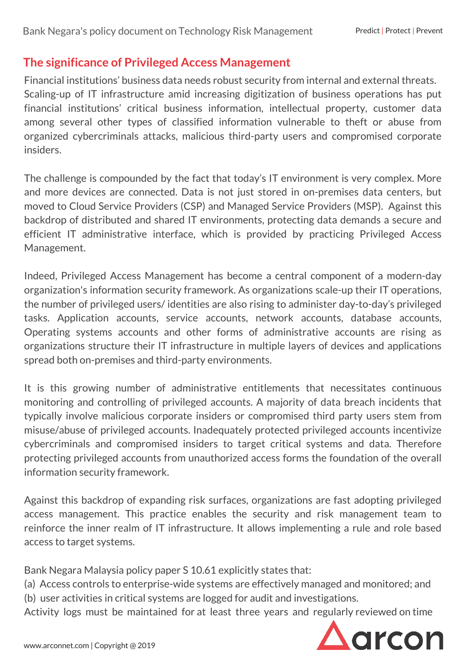### **The significance of Privileged Access Management**

Financial institutions' business data needs robust security from internal and external threats. Scaling-up of IT infrastructure amid increasing digitization of business operations has put financial institutions' critical business information, intellectual property, customer data among several other types of classified information vulnerable to theft or abuse from organized cybercriminals attacks, malicious third-party users and compromised corporate insiders.

The challenge is compounded by the fact that today's IT environment is very complex. More and more devices are connected. Data is not just stored in on-premises data centers, but moved to Cloud Service Providers (CSP) and Managed Service Providers (MSP). Against this backdrop of distributed and shared IT environments, protecting data demands a secure and efficient IT administrative interface, which is provided by practicing Privileged Access Management.

Indeed, Privileged Access Management has become a central component of a modern-day organization's information security framework. As organizations scale-up their IT operations, the number of privileged users/ identities are also rising to administer day-to-day's privileged tasks. Application accounts, service accounts, network accounts, database accounts, Operating systems accounts and other forms of administrative accounts are rising as organizations structure their IT infrastructure in multiple layers of devices and applications spread both on-premises and third-party environments.

It is this growing number of administrative entitlements that necessitates continuous monitoring and controlling of privileged accounts. A majority of data breach incidents that typically involve malicious corporate insiders or compromised third party users stem from misuse/abuse of privileged accounts. Inadequately protected privileged accounts incentivize cybercriminals and compromised insiders to target critical systems and data. Therefore protecting privileged accounts from unauthorized access forms the foundation of the overall information security framework.

Against this backdrop of expanding risk surfaces, organizations are fast adopting privileged access management. This practice enables the security and risk management team to reinforce the inner realm of IT infrastructure. It allows implementing a rule and role based access to target systems.

Bank Negara Malaysia policy paper S 10.61 explicitly states that:

(a) Access controls to enterprise-wide systems are effectively managed and monitored; and (b) user activities in critical systems are logged for audit and investigations.

Activity logs must be maintained for at least three years and regularly reviewed on time

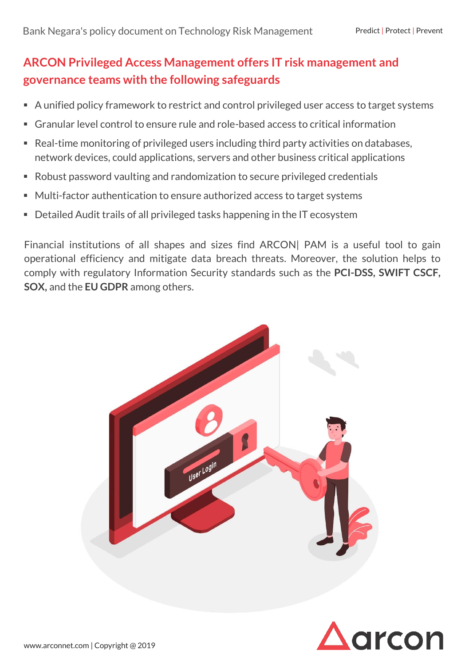## **ARCON Privileged Access Management offers IT risk management and governance teams with the following safeguards**

- A unified policy framework to restrict and control privileged user access to target systems
- Granular level control to ensure rule and role-based access to critical information
- Real-time monitoring of privileged users including third party activities on databases, network devices, could applications, servers and other business critical applications
- Robust password vaulting and randomization to secure privileged credentials
- Multi-factor authentication to ensure authorized access to target systems
- Detailed Audit trails of all privileged tasks happening in the IT ecosystem

Financial institutions of all shapes and sizes find ARCON| PAM is a useful tool to gain operational efficiency and mitigate data breach threats. Moreover, the solution helps to comply with regulatory Information Security standards such as the **PCI-DSS, SWIFT CSCF, SOX,** and the **EU GDPR** among others.



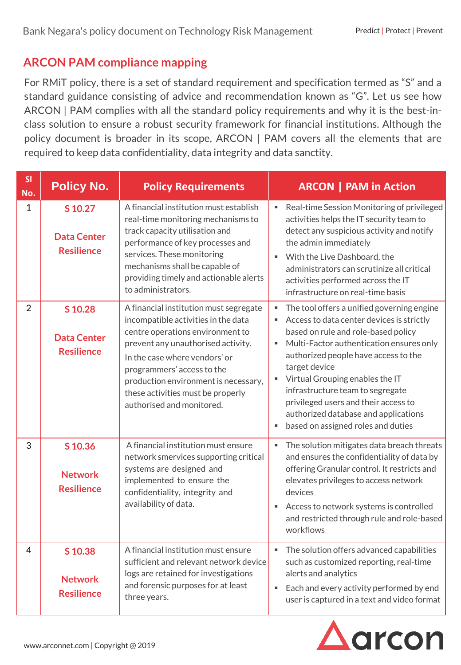### **ARCON PAM compliance mapping**

For RMiT policy, there is a set of standard requirement and specification termed as "S" and a standard guidance consisting of advice and recommendation known as "G". Let us see how ARCON | PAM complies with all the standard policy requirements and why it is the best-inclass solution to ensure a robust security framework for financial institutions. Although the policy document is broader in its scope, ARCON | PAM covers all the elements that are required to keep data confidentiality, data integrity and data sanctity.

| SI<br>No.      | <b>Policy No.</b>                                  | <b>Policy Requirements</b>                                                                                                                                                                                                                                                                                                       | <b>ARCON   PAM in Action</b>                                                                                                                                                                                                                                                                                                                                                                                                     |
|----------------|----------------------------------------------------|----------------------------------------------------------------------------------------------------------------------------------------------------------------------------------------------------------------------------------------------------------------------------------------------------------------------------------|----------------------------------------------------------------------------------------------------------------------------------------------------------------------------------------------------------------------------------------------------------------------------------------------------------------------------------------------------------------------------------------------------------------------------------|
| $\mathbf{1}$   | S 10.27<br><b>Data Center</b><br><b>Resilience</b> | A financial institution must establish<br>real-time monitoring mechanisms to<br>track capacity utilisation and<br>performance of key processes and<br>services. These monitoring<br>mechanisms shall be capable of<br>providing timely and actionable alerts<br>to administrators.                                               | Real-time Session Monitoring of privileged<br>activities helps the IT security team to<br>detect any suspicious activity and notify<br>the admin immediately<br>With the Live Dashboard, the<br>administrators can scrutinize all critical<br>activities performed across the IT<br>infrastructure on real-time basis                                                                                                            |
| $\overline{2}$ | S 10.28<br><b>Data Center</b><br><b>Resilience</b> | A financial institution must segregate<br>incompatible activities in the data<br>centre operations environment to<br>prevent any unauthorised activity.<br>In the case where vendors' or<br>programmers' access to the<br>production environment is necessary,<br>these activities must be properly<br>authorised and monitored. | The tool offers a unified governing engine<br>Access to data center devices is strictly<br>based on rule and role-based policy<br>Multi-Factor authentication ensures only<br>authorized people have access to the<br>target device<br>Virtual Grouping enables the IT<br>infrastructure team to segregate<br>privileged users and their access to<br>authorized database and applications<br>based on assigned roles and duties |
| 3              | S 10.36<br><b>Network</b><br><b>Resilience</b>     | A financial institution must ensure<br>network smervices supporting critical<br>systems are designed and<br>implemented to ensure the<br>confidentiality, integrity and<br>availability of data.                                                                                                                                 | The solution mitigates data breach threats<br>$\blacksquare$<br>and ensures the confidentiality of data by<br>offering Granular control. It restricts and<br>elevates privileges to access network<br>devices<br>Access to network systems is controlled<br>and restricted through rule and role-based<br>workflows                                                                                                              |
| 4              | S 10.38<br><b>Network</b><br><b>Resilience</b>     | A financial institution must ensure<br>sufficient and relevant network device<br>logs are retained for investigations<br>and forensic purposes for at least<br>three years.                                                                                                                                                      | The solution offers advanced capabilities<br>such as customized reporting, real-time<br>alerts and analytics<br>Each and every activity performed by end<br>$\blacksquare$<br>user is captured in a text and video format                                                                                                                                                                                                        |

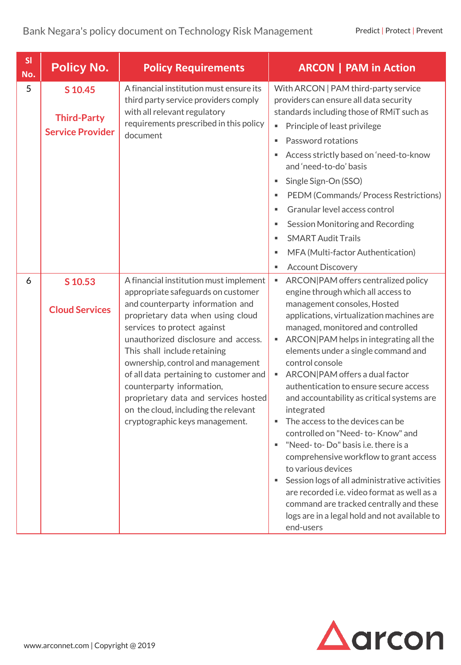| SI<br>No. | <b>Policy No.</b>                                        | <b>Policy Requirements</b>                                                                                                                                                                                                                                                                                                                                                                                                                                                                | <b>ARCON</b>   PAM in Action                                                                                                                                                                                                                                                                                                                                                                                                                                                                                                                                                                                                                                                                                                                                                                                                                           |
|-----------|----------------------------------------------------------|-------------------------------------------------------------------------------------------------------------------------------------------------------------------------------------------------------------------------------------------------------------------------------------------------------------------------------------------------------------------------------------------------------------------------------------------------------------------------------------------|--------------------------------------------------------------------------------------------------------------------------------------------------------------------------------------------------------------------------------------------------------------------------------------------------------------------------------------------------------------------------------------------------------------------------------------------------------------------------------------------------------------------------------------------------------------------------------------------------------------------------------------------------------------------------------------------------------------------------------------------------------------------------------------------------------------------------------------------------------|
| 5         | S 10.45<br><b>Third-Party</b><br><b>Service Provider</b> | A financial institution must ensure its<br>third party service providers comply<br>with all relevant regulatory<br>requirements prescribed in this policy<br>document                                                                                                                                                                                                                                                                                                                     | With ARCON   PAM third-party service<br>providers can ensure all data security<br>standards including those of RMiT such as<br>Principle of least privilege<br>$\blacksquare$<br>Password rotations<br>٠<br>Access strictly based on 'need-to-know<br>٠<br>and 'need-to-do' basis<br>Single Sign-On (SSO)<br>٠<br>PEDM (Commands/ Process Restrictions)<br>٠<br>Granular level access control<br>ш<br>Session Monitoring and Recording<br>٠<br><b>SMART Audit Trails</b><br>٠<br>MFA (Multi-factor Authentication)<br>٠<br><b>Account Discovery</b><br>٠                                                                                                                                                                                                                                                                                               |
| 6         | S 10.53<br><b>Cloud Services</b>                         | A financial institution must implement<br>appropriate safeguards on customer<br>and counterparty information and<br>proprietary data when using cloud<br>services to protect against<br>unauthorized disclosure and access.<br>This shall include retaining<br>ownership, control and management<br>of all data pertaining to customer and<br>counterparty information,<br>proprietary data and services hosted<br>on the cloud, including the relevant<br>cryptographic keys management. | ARCON PAM offers centralized policy<br>٠<br>engine through which all access to<br>management consoles, Hosted<br>applications, virtualization machines are<br>managed, monitored and controlled<br>ARCON PAM helps in integrating all the<br>٠<br>elements under a single command and<br>control console<br>ARCON PAM offers a dual factor<br>٠<br>authentication to ensure secure access<br>and accountability as critical systems are<br>integrated<br>The access to the devices can be<br>٠<br>controlled on "Need-to-Know" and<br>"Need-to-Do" basis i.e. there is a<br>٠<br>comprehensive workflow to grant access<br>to various devices<br>Session logs of all administrative activities<br>are recorded i.e. video format as well as a<br>command are tracked centrally and these<br>logs are in a legal hold and not available to<br>end-users |

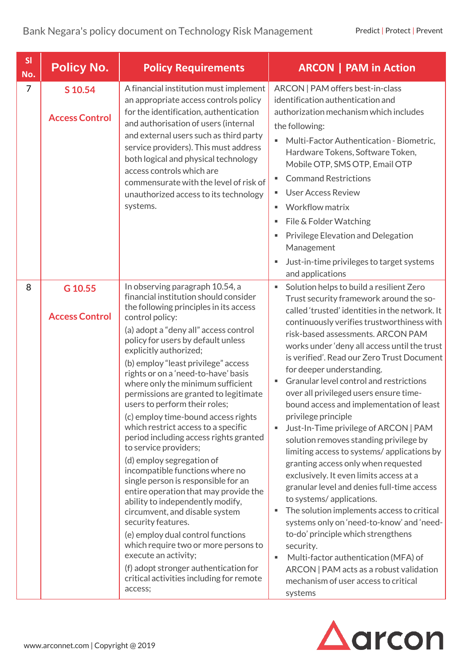| SI<br>No.      | <b>Policy No.</b>                | <b>Policy Requirements</b>                                                                                                                                                                                                                                                                                                                                                                                                                                                                                                                                                                                                                                                                                                                                                                                                                                                                                                                                        | <b>ARCON   PAM in Action</b>                                                                                                                                                                                                                                                                                                                                                                                                                                                                                                                                                                                                                                                                                                                                                                                                                                                                                                                                                                                    |
|----------------|----------------------------------|-------------------------------------------------------------------------------------------------------------------------------------------------------------------------------------------------------------------------------------------------------------------------------------------------------------------------------------------------------------------------------------------------------------------------------------------------------------------------------------------------------------------------------------------------------------------------------------------------------------------------------------------------------------------------------------------------------------------------------------------------------------------------------------------------------------------------------------------------------------------------------------------------------------------------------------------------------------------|-----------------------------------------------------------------------------------------------------------------------------------------------------------------------------------------------------------------------------------------------------------------------------------------------------------------------------------------------------------------------------------------------------------------------------------------------------------------------------------------------------------------------------------------------------------------------------------------------------------------------------------------------------------------------------------------------------------------------------------------------------------------------------------------------------------------------------------------------------------------------------------------------------------------------------------------------------------------------------------------------------------------|
| $\overline{7}$ | S 10.54<br><b>Access Control</b> | A financial institution must implement<br>an appropriate access controls policy<br>for the identification, authentication<br>and authorisation of users (internal<br>and external users such as third party<br>service providers). This must address<br>both logical and physical technology<br>access controls which are<br>commensurate with the level of risk of<br>unauthorized access to its technology<br>systems.                                                                                                                                                                                                                                                                                                                                                                                                                                                                                                                                          | ARCON   PAM offers best-in-class<br>identification authentication and<br>authorization mechanism which includes<br>the following:<br>Multi-Factor Authentication - Biometric,<br>Hardware Tokens, Software Token,<br>Mobile OTP, SMS OTP, Email OTP<br><b>Command Restrictions</b><br><b>User Access Review</b><br>Workflow matrix<br>File & Folder Watching<br>٠<br>Privilege Elevation and Delegation<br>Management<br>Just-in-time privileges to target systems<br>and applications                                                                                                                                                                                                                                                                                                                                                                                                                                                                                                                          |
| 8              | G 10.55                          | In observing paragraph 10.54, a<br>financial institution should consider                                                                                                                                                                                                                                                                                                                                                                                                                                                                                                                                                                                                                                                                                                                                                                                                                                                                                          | Solution helps to build a resilient Zero<br>Trust security framework around the so-                                                                                                                                                                                                                                                                                                                                                                                                                                                                                                                                                                                                                                                                                                                                                                                                                                                                                                                             |
|                | <b>Access Control</b>            | the following principles in its access<br>control policy:<br>(a) adopt a "deny all" access control<br>policy for users by default unless<br>explicitly authorized;<br>(b) employ "least privilege" access<br>rights or on a 'need-to-have' basis<br>where only the minimum sufficient<br>permissions are granted to legitimate<br>users to perform their roles;<br>(c) employ time-bound access rights<br>which restrict access to a specific<br>period including access rights granted<br>to service providers;<br>(d) employ segregation of<br>incompatible functions where no<br>single person is responsible for an<br>entire operation that may provide the<br>ability to independently modify,<br>circumvent, and disable system<br>security features.<br>(e) employ dual control functions<br>which require two or more persons to<br>execute an activity;<br>(f) adopt stronger authentication for<br>critical activities including for remote<br>access; | called 'trusted' identities in the network. It<br>continuously verifies trustworthiness with<br>risk-based assessments, ARCON PAM<br>works under 'deny all access until the trust<br>is verified'. Read our Zero Trust Document<br>for deeper understanding.<br>Granular level control and restrictions<br>over all privileged users ensure time-<br>bound access and implementation of least<br>privilege principle<br>Just-In-Time privilege of ARCON   PAM<br>solution removes standing privilege by<br>limiting access to systems/applications by<br>granting access only when requested<br>exclusively. It even limits access at a<br>granular level and denies full-time access<br>to systems/applications.<br>The solution implements access to critical<br>٠<br>systems only on 'need-to-know' and 'need-<br>to-do' principle which strengthens<br>security.<br>Multi-factor authentication (MFA) of<br>×<br>ARCON   PAM acts as a robust validation<br>mechanism of user access to critical<br>systems |

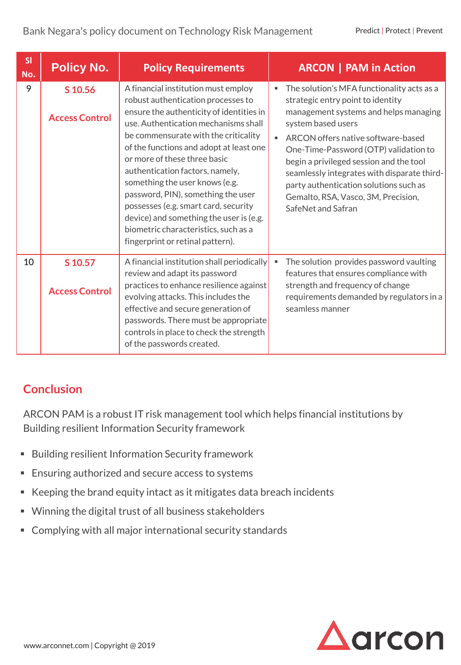| SI<br>No. | <b>Policy No.</b>                | <b>Policy Requirements</b>                                                                                                                                                                                                                                                                                                                                                                                                                                                                                                                                 | <b>ARCON   PAM in Action</b>                                                                                                                                                                                                                                                                                                                                                                                                   |
|-----------|----------------------------------|------------------------------------------------------------------------------------------------------------------------------------------------------------------------------------------------------------------------------------------------------------------------------------------------------------------------------------------------------------------------------------------------------------------------------------------------------------------------------------------------------------------------------------------------------------|--------------------------------------------------------------------------------------------------------------------------------------------------------------------------------------------------------------------------------------------------------------------------------------------------------------------------------------------------------------------------------------------------------------------------------|
| 9         | S 10.56<br><b>Access Control</b> | A financial institution must employ<br>robust authentication processes to<br>ensure the authenticity of identities in<br>use. Authentication mechanisms shall<br>be commensurate with the criticality<br>of the functions and adopt at least one<br>or more of these three basic<br>authentication factors, namely,<br>something the user knows (e.g.<br>password, PIN), something the user<br>possesses (e.g. smart card, security<br>device) and something the user is (e.g.<br>biometric characteristics, such as a<br>fingerprint or retinal pattern). | The solution's MFA functionality acts as a<br>strategic entry point to identity<br>management systems and helps managing<br>system based users<br>ARCON offers native software-based<br>One-Time-Password (OTP) validation to<br>begin a privileged session and the tool<br>seamlessly integrates with disparate third-<br>party authentication solutions such as<br>Gemalto, RSA, Vasco, 3M, Precision,<br>SafeNet and Safran |
| 10        | S 10.57<br><b>Access Control</b> | A financial institution shall periodically<br>review and adapt its password<br>practices to enhance resilience against<br>evolving attacks. This includes the<br>effective and secure generation of<br>passwords. There must be appropriate<br>controls in place to check the strength<br>of the passwords created.                                                                                                                                                                                                                                        | The solution provides password vaulting<br>features that ensures compliance with<br>strength and frequency of change<br>requirements demanded by regulators in a<br>seamless manner                                                                                                                                                                                                                                            |

### **Conclusion**

ARCON PAM is a robust IT risk management tool which helps financial institutions by Building resilient Information Security framework

- **E** Building resilient Information Security framework
- Ensuring authorized and secure access to systems
- Keeping the brand equity intact as it mitigates data breach incidents
- Winning the digital trust of all business stakeholders
- Complying with all major international security standards